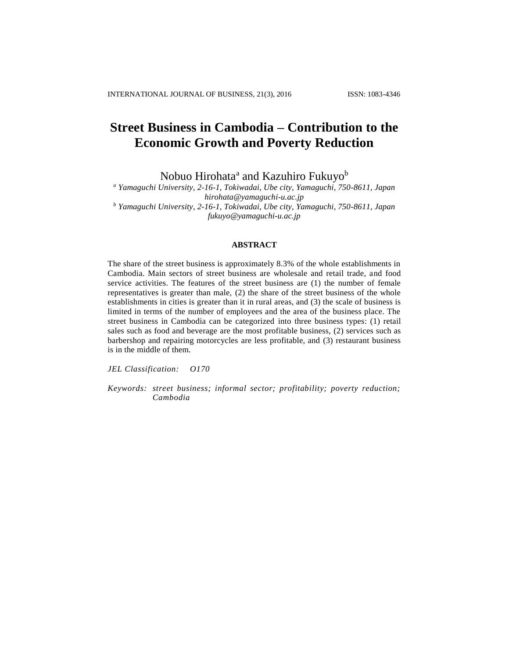# **Street Business in Cambodia – Contribution to the Economic Growth and Poverty Reduction**

Nobuo Hirohata<sup>a</sup> and Kazuhiro Fukuyo<sup>b</sup>

*<sup>a</sup> Yamaguchi University, 2-16-1, Tokiwadai, Ube city, Yamaguchi, 750-8611, Japan hirohata@yamaguchi-u.ac.jp <sup>b</sup> Yamaguchi University, 2-16-1, Tokiwadai, Ube city, Yamaguchi, 750-8611, Japan fukuyo@yamaguchi-u.ac.jp*

## **ABSTRACT**

The share of the street business is approximately 8.3% of the whole establishments in Cambodia. Main sectors of street business are wholesale and retail trade, and food service activities. The features of the street business are (1) the number of female representatives is greater than male, (2) the share of the street business of the whole establishments in cities is greater than it in rural areas, and (3) the scale of business is limited in terms of the number of employees and the area of the business place. The street business in Cambodia can be categorized into three business types: (1) retail sales such as food and beverage are the most profitable business, (2) services such as barbershop and repairing motorcycles are less profitable, and (3) restaurant business is in the middle of them.

*JEL Classification: O170*

*Keywords: street business; informal sector; profitability; poverty reduction; Cambodia*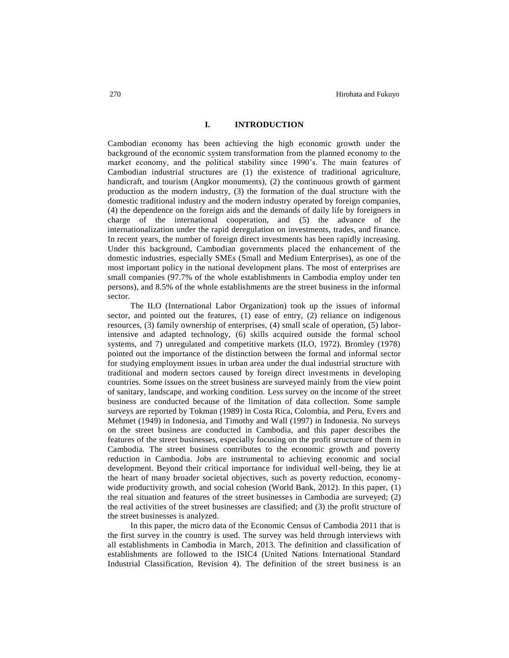## **I. INTRODUCTION**

Cambodian economy has been achieving the high economic growth under the background of the economic system transformation from the planned economy to the market economy, and the political stability since 1990's. The main features of Cambodian industrial structures are (1) the existence of traditional agriculture, handicraft, and tourism (Angkor monuments), (2) the continuous growth of garment production as the modern industry, (3) the formation of the dual structure with the domestic traditional industry and the modern industry operated by foreign companies, (4) the dependence on the foreign aids and the demands of daily life by foreigners in charge of the international cooperation, and (5) the advance of the internationalization under the rapid deregulation on investments, trades, and finance. In recent years, the number of foreign direct investments has been rapidly increasing. Under this background, Cambodian governments placed the enhancement of the domestic industries, especially SMEs (Small and Medium Enterprises), as one of the most important policy in the national development plans. The most of enterprises are small companies (97.7% of the whole establishments in Cambodia employ under ten persons), and 8.5% of the whole establishments are the street business in the informal sector.

The ILO (International Labor Organization) took up the issues of informal sector, and pointed out the features, (1) ease of entry, (2) reliance on indigenous resources, (3) family ownership of enterprises, (4) small scale of operation, (5) laborintensive and adapted technology, (6) skills acquired outside the formal school systems, and 7) unregulated and competitive markets (ILO, 1972). Bromley (1978) pointed out the importance of the distinction between the formal and informal sector for studying employment issues in urban area under the dual industrial structure with traditional and modern sectors caused by foreign direct investments in developing countries. Some issues on the street business are surveyed mainly from the view point of sanitary, landscape, and working condition. Less survey on the income of the street business are conducted because of the limitation of data collection. Some sample surveys are reported by Tokman (1989) in Costa Rica, Colombia, and Peru, Evers and Mehmet (1949) in Indonesia, and Timothy and Wall (1997) in Indonesia. No surveys on the street business are conducted in Cambodia, and this paper describes the features of the street businesses, especially focusing on the profit structure of them in Cambodia. The street business contributes to the economic growth and poverty reduction in Cambodia. Jobs are instrumental to achieving economic and social development. Beyond their critical importance for individual well-being, they lie at the heart of many broader societal objectives, such as poverty reduction, economywide productivity growth, and social cohesion (World Bank, 2012). In this paper, (1) the real situation and features of the street businesses in Cambodia are surveyed; (2) the real activities of the street businesses are classified; and (3) the profit structure of the street businesses is analyzed.

In this paper, the micro data of the Economic Census of Cambodia 2011 that is the first survey in the country is used. The survey was held through interviews with all establishments in Cambodia in March, 2013. The definition and classification of establishments are followed to the ISIC4 (United Nations International Standard Industrial Classification, Revision 4). The definition of the street business is an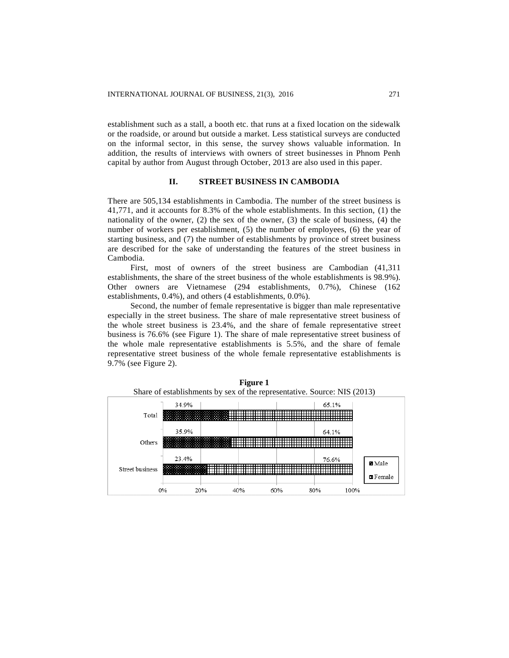establishment such as a stall, a booth etc. that runs at a fixed location on the sidewalk or the roadside, or around but outside a market. Less statistical surveys are conducted on the informal sector, in this sense, the survey shows valuable information. In addition, the results of interviews with owners of street businesses in Phnom Penh capital by author from August through October, 2013 are also used in this paper.

## **II. STREET BUSINESS IN CAMBODIA**

There are 505,134 establishments in Cambodia. The number of the street business is 41,771, and it accounts for 8.3% of the whole establishments. In this section, (1) the nationality of the owner,  $(2)$  the sex of the owner,  $(3)$  the scale of business,  $(4)$  the number of workers per establishment, (5) the number of employees, (6) the year of starting business, and (7) the number of establishments by province of street business are described for the sake of understanding the features of the street business in Cambodia.

First, most of owners of the street business are Cambodian (41,311 establishments, the share of the street business of the whole establishments is 98.9%). Other owners are Vietnamese (294 establishments, 0.7%), Chinese (162 establishments, 0.4%), and others (4 establishments, 0.0%).

Second, the number of female representative is bigger than male representative especially in the street business. The share of male representative street business of the whole street business is 23.4%, and the share of female representative street business is 76.6% (see Figure 1). The share of male representative street business of the whole male representative establishments is 5.5%, and the share of female representative street business of the whole female representative establishments is 9.7% (see Figure 2).



**Figure 1**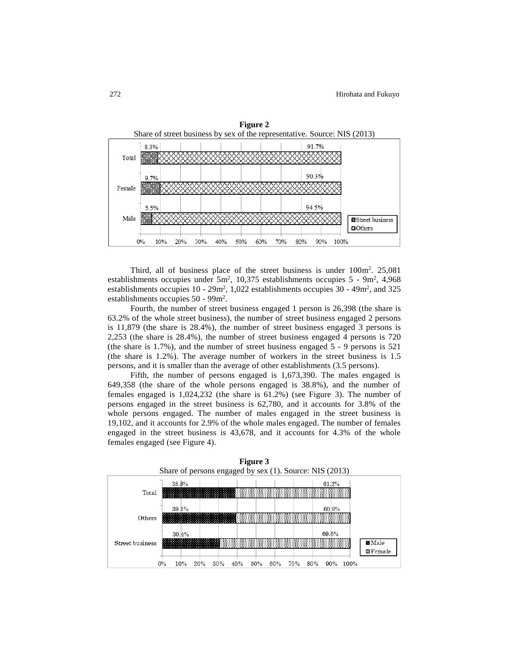

Third, all of business place of the street business is under  $100 \text{ m}^2$ . 25,081 establishments occupies under  $5m^2$ , 10,375 establishments occupies  $5 - 9m^2$ , 4,968 establishments occupies  $10 - 29m^2$ , 1,022 establishments occupies  $30 - 49m^2$ , and  $325$ establishments occupies 50 - 99m<sup>2</sup>.

Fourth, the number of street business engaged 1 person is 26,398 (the share is 63.2% of the whole street business), the number of street business engaged 2 persons is 11,879 (the share is 28.4%), the number of street business engaged 3 persons is 2,253 (the share is 28.4%), the number of street business engaged 4 persons is 720 (the share is 1.7%), and the number of street business engaged 5 - 9 persons is 521 (the share is 1.2%). The average number of workers in the street business is 1.5 persons, and it is smaller than the average of other establishments (3.5 persons).

Fifth, the number of persons engaged is 1,673,390. The males engaged is 649,358 (the share of the whole persons engaged is 38.8%), and the number of females engaged is 1,024,232 (the share is 61.2%) (see Figure 3). The number of persons engaged in the street business is 62,780, and it accounts for 3.8% of the whole persons engaged. The number of males engaged in the street business is 19,102, and it accounts for 2.9% of the whole males engaged. The number of females engaged in the street business is 43,678, and it accounts for 4.3% of the whole females engaged (see Figure 4).



**Figure 3**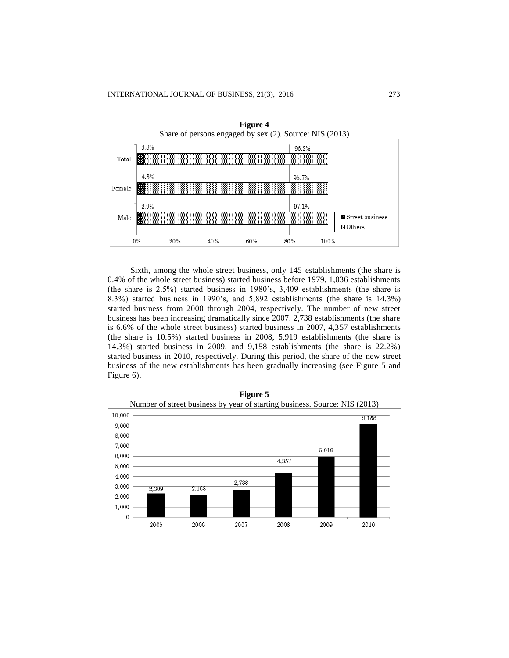

Sixth, among the whole street business, only 145 establishments (the share is 0.4% of the whole street business) started business before 1979, 1,036 establishments (the share is 2.5%) started business in 1980's, 3,409 establishments (the share is 8.3%) started business in 1990's, and 5,892 establishments (the share is 14.3%) started business from 2000 through 2004, respectively. The number of new street business has been increasing dramatically since 2007. 2,738 establishments (the share is 6.6% of the whole street business) started business in 2007, 4,357 establishments (the share is 10.5%) started business in 2008, 5,919 establishments (the share is 14.3%) started business in 2009, and 9,158 establishments (the share is 22.2%) started business in 2010, respectively. During this period, the share of the new street business of the new establishments has been gradually increasing (see Figure 5 and Figure 6).



**Figure 5**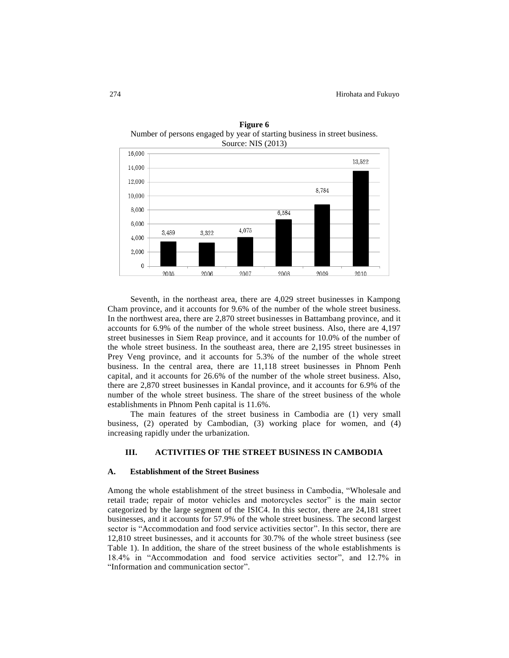

**Figure 6** Number of persons engaged by year of starting business in street business.

Seventh, in the northeast area, there are 4,029 street businesses in Kampong Cham province, and it accounts for 9.6% of the number of the whole street business. In the northwest area, there are 2,870 street businesses in Battambang province, and it accounts for 6.9% of the number of the whole street business. Also, there are 4,197 street businesses in Siem Reap province, and it accounts for 10.0% of the number of the whole street business. In the southeast area, there are 2,195 street businesses in Prey Veng province, and it accounts for 5.3% of the number of the whole street business. In the central area, there are 11,118 street businesses in Phnom Penh capital, and it accounts for 26.6% of the number of the whole street business. Also, there are 2,870 street businesses in Kandal province, and it accounts for 6.9% of the number of the whole street business. The share of the street business of the whole establishments in Phnom Penh capital is 11.6%.

The main features of the street business in Cambodia are (1) very small business, (2) operated by Cambodian, (3) working place for women, and (4) increasing rapidly under the urbanization.

## **III. ACTIVITIES OF THE STREET BUSINESS IN CAMBODIA**

### **A. Establishment of the Street Business**

Among the whole establishment of the street business in Cambodia, "Wholesale and retail trade; repair of motor vehicles and motorcycles sector" is the main sector categorized by the large segment of the ISIC4. In this sector, there are 24,181 street businesses, and it accounts for 57.9% of the whole street business. The second largest sector is "Accommodation and food service activities sector". In this sector, there are 12,810 street businesses, and it accounts for 30.7% of the whole street business (see Table 1). In addition, the share of the street business of the whole establishments is 18.4% in "Accommodation and food service activities sector", and 12.7% in "Information and communication sector".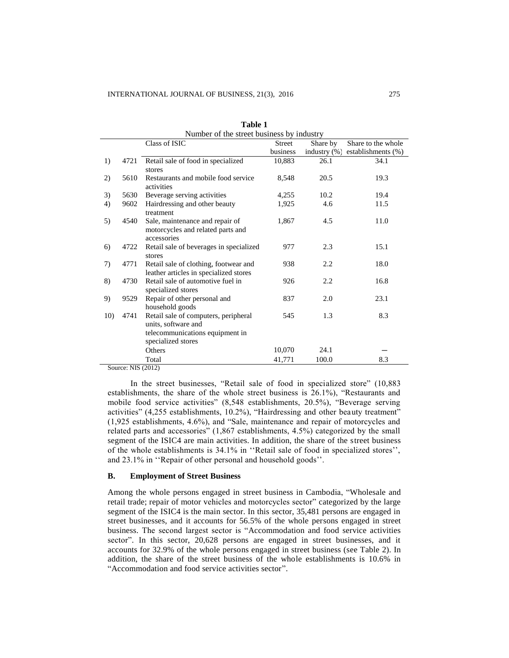|     | Number of the street business by industry |                                         |               |                 |                    |  |
|-----|-------------------------------------------|-----------------------------------------|---------------|-----------------|--------------------|--|
|     |                                           | Class of ISIC                           | <b>Street</b> | Share by        | Share to the whole |  |
|     |                                           |                                         | business      | industry $(\%)$ | establishments (%) |  |
| 1)  | 4721                                      | Retail sale of food in specialized      | 10,883        | 26.1            | 34.1               |  |
|     |                                           | stores                                  |               |                 |                    |  |
| 2)  | 5610                                      | Restaurants and mobile food service     | 8,548         | 20.5            | 19.3               |  |
|     |                                           | activities                              |               |                 |                    |  |
| 3)  | 5630                                      | Beverage serving activities             | 4,255         | 10.2            | 19.4               |  |
| 4)  | 9602                                      | Hairdressing and other beauty           | 1,925         | 4.6             | 11.5               |  |
|     |                                           | treatment                               |               |                 |                    |  |
| 5)  | 4540                                      | Sale, maintenance and repair of         | 1,867         | 4.5             | 11.0               |  |
|     |                                           | motorcycles and related parts and       |               |                 |                    |  |
|     |                                           | accessories                             |               |                 |                    |  |
| 6)  | 4722                                      | Retail sale of beverages in specialized | 977           | 2.3             | 15.1               |  |
|     |                                           | stores                                  |               |                 |                    |  |
| 7)  | 4771                                      | Retail sale of clothing, footwear and   | 938           | 2.2             | 18.0               |  |
|     |                                           | leather articles in specialized stores  |               |                 |                    |  |
| 8)  | 4730                                      | Retail sale of automotive fuel in       | 926           | 2.2             | 16.8               |  |
|     |                                           | specialized stores                      |               |                 |                    |  |
| 9)  | 9529                                      | Repair of other personal and            | 837           | 2.0             | 23.1               |  |
|     |                                           | household goods                         |               |                 |                    |  |
| 10) | 4741                                      | Retail sale of computers, peripheral    | 545           | 1.3             | 8.3                |  |
|     |                                           | units, software and                     |               |                 |                    |  |
|     |                                           | telecommunications equipment in         |               |                 |                    |  |
|     |                                           | specialized stores                      |               |                 |                    |  |
|     |                                           | Others                                  | 10,070        | 24.1            |                    |  |
|     |                                           | Total                                   | 41,771        | 100.0           | 8.3                |  |

| Table 1                                 |  |
|-----------------------------------------|--|
| imber of the street business by industr |  |

Source: NIS (2012)

In the street businesses, "Retail sale of food in specialized store" (10,883 establishments, the share of the whole street business is 26.1%), "Restaurants and mobile food service activities" (8,548 establishments, 20.5%), "Beverage serving activities" (4,255 establishments, 10.2%), "Hairdressing and other beauty treatment" (1,925 establishments, 4.6%), and "Sale, maintenance and repair of motorcycles and related parts and accessories" (1,867 establishments, 4.5%) categorized by the small segment of the ISIC4 are main activities. In addition, the share of the street business of the whole establishments is 34.1% in ''Retail sale of food in specialized stores'', and 23.1% in ''Repair of other personal and household goods''.

#### **B. Employment of Street Business**

Among the whole persons engaged in street business in Cambodia, "Wholesale and retail trade; repair of motor vehicles and motorcycles sector" categorized by the large segment of the ISIC4 is the main sector. In this sector, 35,481 persons are engaged in street businesses, and it accounts for 56.5% of the whole persons engaged in street business. The second largest sector is "Accommodation and food service activities sector". In this sector, 20,628 persons are engaged in street businesses, and it accounts for 32.9% of the whole persons engaged in street business (see Table 2). In addition, the share of the street business of the whole establishments is 10.6% in "Accommodation and food service activities sector".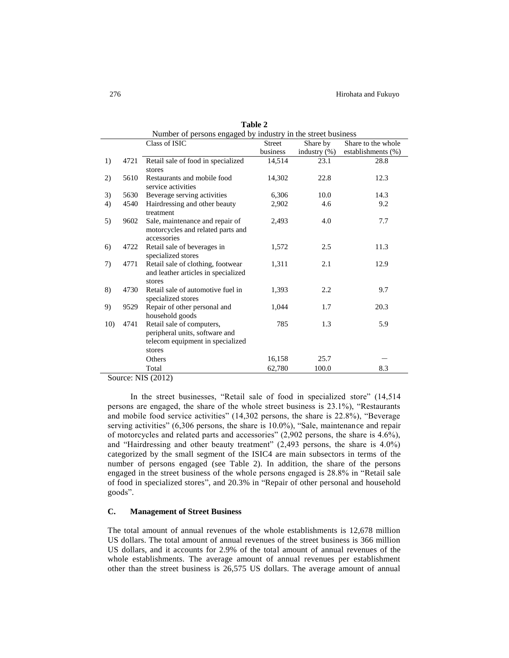|     | Number of persons engaged by industry in the street business |                                     |          |                 |                    |
|-----|--------------------------------------------------------------|-------------------------------------|----------|-----------------|--------------------|
|     |                                                              | Class of ISIC                       | Street   | Share by        | Share to the whole |
|     |                                                              |                                     | business | industry $(\%)$ | establishments (%) |
| 1)  | 4721                                                         | Retail sale of food in specialized  | 14,514   | 23.1            | 28.8               |
|     |                                                              | stores                              |          |                 |                    |
| 2)  | 5610                                                         | Restaurants and mobile food         | 14,302   | 22.8            | 12.3               |
|     |                                                              | service activities                  |          |                 |                    |
| 3)  | 5630                                                         | Beverage serving activities         | 6,306    | 10.0            | 14.3               |
| 4)  | 4540                                                         | Hairdressing and other beauty       | 2,902    | 4.6             | 9.2                |
|     |                                                              | treatment                           |          |                 |                    |
| 5)  | 9602                                                         | Sale, maintenance and repair of     | 2,493    | 4.0             | 7.7                |
|     |                                                              | motorcycles and related parts and   |          |                 |                    |
|     |                                                              | accessories                         |          |                 |                    |
| 6)  | 4722                                                         | Retail sale of beverages in         | 1,572    | 2.5             | 11.3               |
|     |                                                              | specialized stores                  |          |                 |                    |
| 7)  | 4771                                                         | Retail sale of clothing, footwear   | 1,311    | 2.1             | 12.9               |
|     |                                                              | and leather articles in specialized |          |                 |                    |
|     |                                                              | stores                              |          |                 |                    |
| 8)  | 4730                                                         | Retail sale of automotive fuel in   | 1,393    | 2.2             | 9.7                |
|     |                                                              | specialized stores                  |          |                 |                    |
| 9)  | 9529                                                         | Repair of other personal and        | 1,044    | 1.7             | 20.3               |
|     |                                                              | household goods                     |          |                 |                    |
| 10) | 4741                                                         | Retail sale of computers,           | 785      | 1.3             | 5.9                |
|     |                                                              | peripheral units, software and      |          |                 |                    |
|     |                                                              | telecom equipment in specialized    |          |                 |                    |
|     |                                                              | stores                              |          |                 |                    |
|     |                                                              | Others                              | 16,158   | 25.7            |                    |
|     |                                                              | Total                               | 62,780   | 100.0           | 8.3                |

**Table 2**

Source: NIS (2012)

In the street businesses, "Retail sale of food in specialized store" (14,514 persons are engaged, the share of the whole street business is 23.1%), "Restaurants and mobile food service activities" (14,302 persons, the share is 22.8%), "Beverage serving activities" (6,306 persons, the share is 10.0%), "Sale, maintenance and repair of motorcycles and related parts and accessories" (2,902 persons, the share is 4.6%), and "Hairdressing and other beauty treatment" (2,493 persons, the share is 4.0%) categorized by the small segment of the ISIC4 are main subsectors in terms of the number of persons engaged (see Table 2). In addition, the share of the persons engaged in the street business of the whole persons engaged is 28.8% in "Retail sale of food in specialized stores", and 20.3% in "Repair of other personal and household goods".

## **C. Management of Street Business**

The total amount of annual revenues of the whole establishments is 12,678 million US dollars. The total amount of annual revenues of the street business is 366 million US dollars, and it accounts for 2.9% of the total amount of annual revenues of the whole establishments. The average amount of annual revenues per establishment other than the street business is 26,575 US dollars. The average amount of annual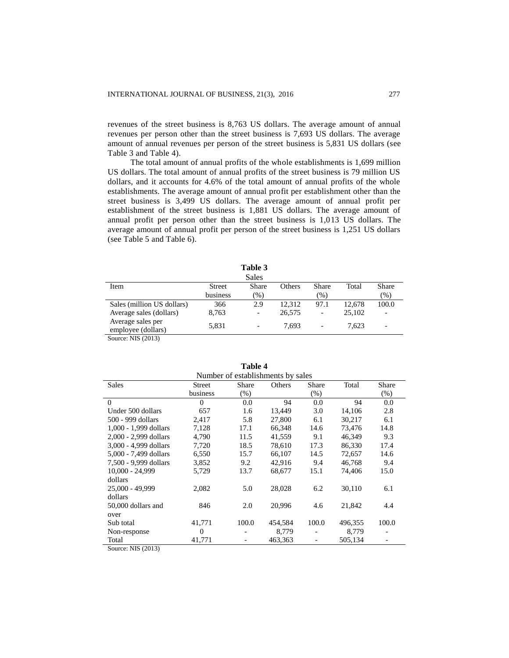revenues of the street business is 8,763 US dollars. The average amount of annual revenues per person other than the street business is 7,693 US dollars. The average amount of annual revenues per person of the street business is 5,831 US dollars (see Table 3 and Table 4).

The total amount of annual profits of the whole establishments is 1,699 million US dollars. The total amount of annual profits of the street business is 79 million US dollars, and it accounts for 4.6% of the total amount of annual profits of the whole establishments. The average amount of annual profit per establishment other than the street business is 3,499 US dollars. The average amount of annual profit per establishment of the street business is 1,881 US dollars. The average amount of annual profit per person other than the street business is 1,013 US dollars. The average amount of annual profit per person of the street business is 1,251 US dollars (see Table 5 and Table 6).

|                            |               | Sales                    |        |                          |        |                              |  |
|----------------------------|---------------|--------------------------|--------|--------------------------|--------|------------------------------|--|
| Item                       | <b>Street</b> | <b>Share</b>             | Others | <b>Share</b>             | Total  | Share                        |  |
|                            | business      | $(\%)$                   |        | $(\%)$                   |        | $(\%)$                       |  |
| Sales (million US dollars) | 366           | 2.9                      | 12.312 | 97.1                     | 12.678 | 100.0                        |  |
| Average sales (dollars)    | 8,763         | $\overline{\phantom{a}}$ | 26,575 | $\overline{\phantom{a}}$ | 25,102 | $\qquad \qquad \blacksquare$ |  |
| Average sales per          | 5,831         |                          | 7.693  |                          | 7.623  |                              |  |
| employee (dollars)         |               | $\overline{\phantom{a}}$ |        | $\overline{\phantom{a}}$ |        | -                            |  |
| Source: NIS (2013)         |               |                          |        |                          |        |                              |  |

**Table 3**

|                       | Number of establishments by sales |         |         |                          |         |        |
|-----------------------|-----------------------------------|---------|---------|--------------------------|---------|--------|
| <b>Sales</b>          | <b>Street</b>                     | Share   | Others  | Share                    | Total   | Share  |
|                       | business                          | $(\% )$ |         | (% )                     |         | $(\%)$ |
| $\Omega$              | $\Omega$                          | 0.0     | 94      | 0.0                      | 94      | 0.0    |
| Under 500 dollars     | 657                               | 1.6     | 13,449  | 3.0                      | 14,106  | 2.8    |
| 500 - 999 dollars     | 2,417                             | 5.8     | 27,800  | 6.1                      | 30,217  | 6.1    |
| 1,000 - 1,999 dollars | 7,128                             | 17.1    | 66,348  | 14.6                     | 73,476  | 14.8   |
| 2,000 - 2,999 dollars | 4,790                             | 11.5    | 41,559  | 9.1                      | 46,349  | 9.3    |
| 3,000 - 4,999 dollars | 7,720                             | 18.5    | 78.610  | 17.3                     | 86.330  | 17.4   |
| 5,000 - 7,499 dollars | 6,550                             | 15.7    | 66,107  | 14.5                     | 72,657  | 14.6   |
| 7,500 - 9,999 dollars | 3,852                             | 9.2     | 42,916  | 9.4                      | 46,768  | 9.4    |
| $10,000 - 24,999$     | 5,729                             | 13.7    | 68,677  | 15.1                     | 74,406  | 15.0   |
| dollars               |                                   |         |         |                          |         |        |
| 25,000 - 49,999       | 2,082                             | 5.0     | 28,028  | 6.2                      | 30,110  | 6.1    |
| dollars               |                                   |         |         |                          |         |        |
| 50,000 dollars and    | 846                               | 2.0     | 20,996  | 4.6                      | 21,842  | 4.4    |
| over                  |                                   |         |         |                          |         |        |
| Sub total             | 41,771                            | 100.0   | 454,584 | 100.0                    | 496,355 | 100.0  |
| Non-response          | $\Omega$                          |         | 8,779   | $\overline{\phantom{a}}$ | 8,779   |        |
| Total                 | 41,771                            |         | 463,363 |                          | 505,134 |        |

**Table 4**

Source: NIS (2013)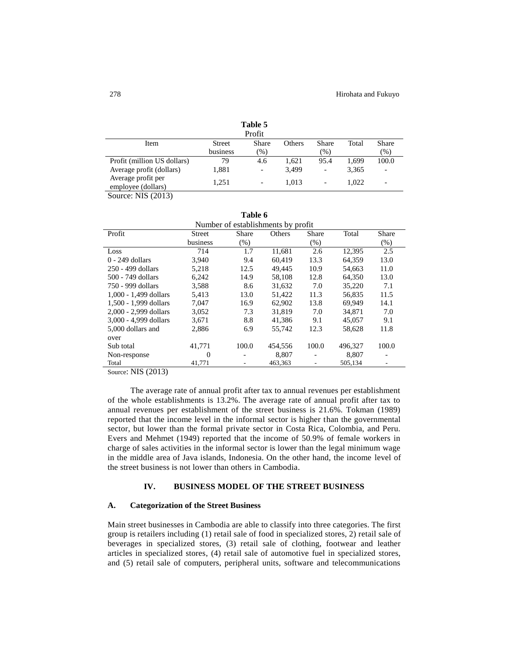|                                  |               | Table 5<br>Profit |               |                          |       |                          |
|----------------------------------|---------------|-------------------|---------------|--------------------------|-------|--------------------------|
| Item                             | <b>Street</b> | <b>Share</b>      | <b>Others</b> | <b>Share</b>             | Total | <b>Share</b>             |
|                                  | business      | (% )              |               | (%)                      |       | $(\%)$                   |
| Profit (million US dollars)      | 79            | 4.6               | 1.621         | 95.4                     | 1.699 | 100.0                    |
| Average profit (dollars)         | 1,881         |                   | 3,499         | -                        | 3,365 | $\qquad \qquad$          |
| Average profit per               | 1.251         | -                 | 1.013         | $\overline{\phantom{0}}$ | 1.022 | $\overline{\phantom{0}}$ |
| employee (dollars)               |               |                   |               |                          |       |                          |
| $C_{\text{outmax}}$ , MIC (2012) |               |                   |               |                          |       |                          |

Source: NIS (2013)

| Table 6                            |
|------------------------------------|
| Number of establishments by profit |

| Profit                | Street   | Share   | INUMBULE OF USTADIISMINUMS DY DIOTIT<br>Others | Share   | Total   | Share   |
|-----------------------|----------|---------|------------------------------------------------|---------|---------|---------|
|                       | business | $(\% )$ |                                                | $(\% )$ |         | $(\% )$ |
| Loss                  | 714      | 1.7     | 11,681                                         | 2.6     | 12,395  | 2.5     |
| $0 - 249$ dollars     | 3.940    | 9.4     | 60.419                                         | 13.3    | 64.359  | 13.0    |
| 250 - 499 dollars     | 5,218    | 12.5    | 49.445                                         | 10.9    | 54.663  | 11.0    |
| 500 - 749 dollars     | 6,242    | 14.9    | 58.108                                         | 12.8    | 64.350  | 13.0    |
| 750 - 999 dollars     | 3,588    | 8.6     | 31,632                                         | 7.0     | 35,220  | 7.1     |
| 1,000 - 1,499 dollars | 5,413    | 13.0    | 51,422                                         | 11.3    | 56,835  | 11.5    |
| 1.500 - 1.999 dollars | 7.047    | 16.9    | 62,902                                         | 13.8    | 69.949  | 14.1    |
| 2,000 - 2,999 dollars | 3,052    | 7.3     | 31,819                                         | 7.0     | 34,871  | 7.0     |
| 3,000 - 4,999 dollars | 3,671    | 8.8     | 41,386                                         | 9.1     | 45,057  | 9.1     |
| 5,000 dollars and     | 2.886    | 6.9     | 55.742                                         | 12.3    | 58.628  | 11.8    |
| over                  |          |         |                                                |         |         |         |
| Sub total             | 41,771   | 100.0   | 454,556                                        | 100.0   | 496,327 | 100.0   |
| Non-response          | $\Omega$ |         | 8,807                                          |         | 8,807   |         |
| Total                 | 41,771   |         | 463,363                                        |         | 505,134 |         |

Source: NIS (2013)

The average rate of annual profit after tax to annual revenues per establishment of the whole establishments is 13.2%. The average rate of annual profit after tax to annual revenues per establishment of the street business is 21.6%. Tokman (1989) reported that the income level in the informal sector is higher than the governmental sector, but lower than the formal private sector in Costa Rica, Colombia, and Peru. Evers and Mehmet (1949) reported that the income of 50.9% of female workers in charge of sales activities in the informal sector is lower than the legal minimum wage in the middle area of Java islands, Indonesia. On the other hand, the income level of the street business is not lower than others in Cambodia.

## **IV. BUSINESS MODEL OF THE STREET BUSINESS**

## **A. Categorization of the Street Business**

Main street businesses in Cambodia are able to classify into three categories. The first group is retailers including (1) retail sale of food in specialized stores, 2) retail sale of beverages in specialized stores, (3) retail sale of clothing, footwear and leather articles in specialized stores, (4) retail sale of automotive fuel in specialized stores, and (5) retail sale of computers, peripheral units, software and telecommunications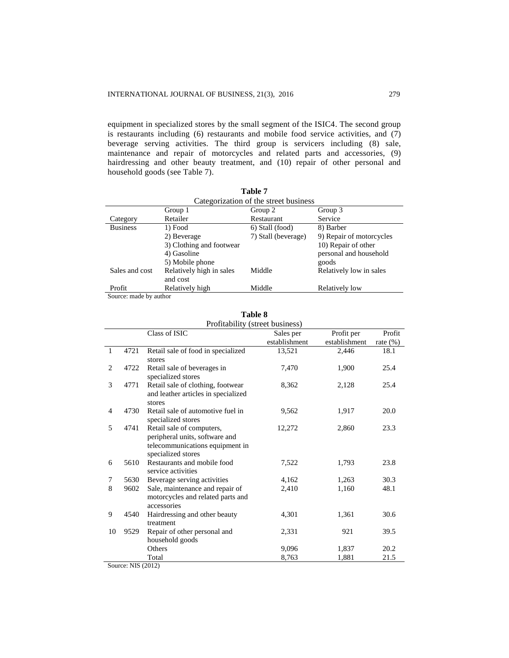equipment in specialized stores by the small segment of the ISIC4. The second group is restaurants including (6) restaurants and mobile food service activities, and (7) beverage serving activities. The third group is servicers including (8) sale, maintenance and repair of motorcycles and related parts and accessories, (9) hairdressing and other beauty treatment, and (10) repair of other personal and household goods (see Table 7).

**Table 7**

| Categorization of the street business |                          |                     |                          |  |  |
|---------------------------------------|--------------------------|---------------------|--------------------------|--|--|
|                                       | Group 1                  | Group 2             | Group 3                  |  |  |
| Category                              | Retailer                 | Restaurant          | Service                  |  |  |
| <b>Business</b>                       | 1) Food                  | 6) Stall (food)     | 8) Barber                |  |  |
|                                       | 2) Beverage              | 7) Stall (beverage) | 9) Repair of motorcycles |  |  |
|                                       | 3) Clothing and footwear |                     | 10) Repair of other      |  |  |
|                                       | 4) Gasoline              |                     | personal and household   |  |  |
|                                       | 5) Mobile phone          |                     | goods                    |  |  |
| Sales and cost                        | Relatively high in sales | Middle              | Relatively low in sales  |  |  |
|                                       | and cost                 |                     |                          |  |  |
| Profit                                | Relatively high          | Middle              | Relatively low           |  |  |

Source: made by author

|    | 1 avit 0<br>Profitability (street business) |                                                                                                                      |               |               |             |  |
|----|---------------------------------------------|----------------------------------------------------------------------------------------------------------------------|---------------|---------------|-------------|--|
|    |                                             | Class of ISIC                                                                                                        | Sales per     | Profit per    | Profit      |  |
|    |                                             |                                                                                                                      | establishment | establishment | rate $(\%)$ |  |
| 1  | 4721                                        | Retail sale of food in specialized<br>stores                                                                         | 13,521        | 2,446         | 18.1        |  |
| 2  | 4722                                        | Retail sale of beverages in<br>specialized stores                                                                    | 7,470         | 1,900         | 25.4        |  |
| 3  | 4771                                        | Retail sale of clothing, footwear<br>and leather articles in specialized<br>stores                                   | 8,362         | 2,128         | 25.4        |  |
| 4  | 4730                                        | Retail sale of automotive fuel in<br>specialized stores                                                              | 9,562         | 1,917         | 20.0        |  |
| 5  | 4741                                        | Retail sale of computers,<br>peripheral units, software and<br>telecommunications equipment in<br>specialized stores | 12,272        | 2,860         | 23.3        |  |
| 6  | 5610                                        | Restaurants and mobile food<br>service activities                                                                    | 7,522         | 1,793         | 23.8        |  |
| 7  | 5630                                        | Beverage serving activities                                                                                          | 4,162         | 1,263         | 30.3        |  |
| 8  | 9602                                        | Sale, maintenance and repair of<br>motorcycles and related parts and<br>accessories                                  | 2,410         | 1,160         | 48.1        |  |
| 9  | 4540                                        | Hairdressing and other beauty<br>treatment                                                                           | 4,301         | 1,361         | 30.6        |  |
| 10 | 9529                                        | Repair of other personal and<br>household goods                                                                      | 2,331         | 921           | 39.5        |  |
|    |                                             | Others                                                                                                               | 9,096         | 1,837         | 20.2        |  |
|    |                                             | Total                                                                                                                | 8,763         | 1.881         | 21.5        |  |

**Table 8**

Source: NIS (2012)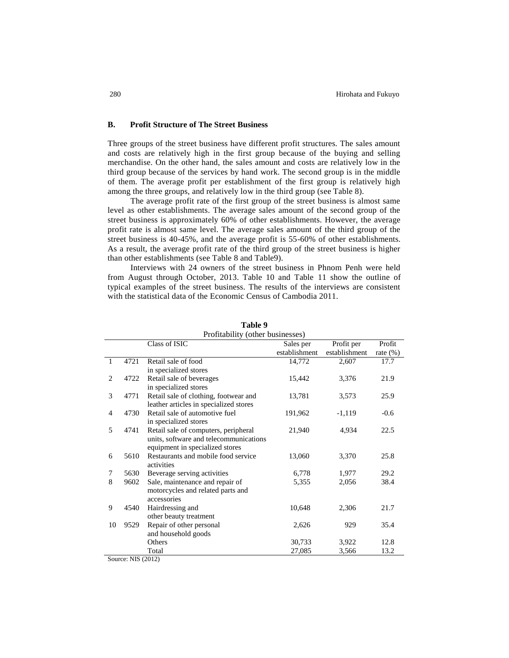## **B. Profit Structure of The Street Business**

Three groups of the street business have different profit structures. The sales amount and costs are relatively high in the first group because of the buying and selling merchandise. On the other hand, the sales amount and costs are relatively low in the third group because of the services by hand work. The second group is in the middle of them. The average profit per establishment of the first group is relatively high among the three groups, and relatively low in the third group (see Table 8).

The average profit rate of the first group of the street business is almost same level as other establishments. The average sales amount of the second group of the street business is approximately 60% of other establishments. However, the average profit rate is almost same level. The average sales amount of the third group of the street business is 40-45%, and the average profit is 55-60% of other establishments. As a result, the average profit rate of the third group of the street business is higher than other establishments (see Table 8 and Table9).

Interviews with 24 owners of the street business in Phnom Penh were held from August through October, 2013. Table 10 and Table 11 show the outline of typical examples of the street business. The results of the interviews are consistent with the statistical data of the Economic Census of Cambodia 2011.

|              | Profitability (other businesses) |                                        |               |               |             |
|--------------|----------------------------------|----------------------------------------|---------------|---------------|-------------|
|              |                                  | Class of ISIC                          | Sales per     | Profit per    | Profit      |
|              |                                  |                                        | establishment | establishment | rate $(\%)$ |
| $\mathbf{1}$ | 4721                             | Retail sale of food                    | 14,772        | 2,607         | 17.7        |
|              |                                  | in specialized stores                  |               |               |             |
| 2            | 4722                             | Retail sale of beverages               | 15,442        | 3,376         | 21.9        |
|              |                                  | in specialized stores                  |               |               |             |
| 3            | 4771                             | Retail sale of clothing, footwear and  | 13,781        | 3,573         | 25.9        |
|              |                                  | leather articles in specialized stores |               |               |             |
| 4            | 4730                             | Retail sale of automotive fuel         | 191,962       | $-1,119$      | $-0.6$      |
|              |                                  | in specialized stores                  |               |               |             |
| 5            | 4741                             | Retail sale of computers, peripheral   | 21,940        | 4,934         | 22.5        |
|              |                                  | units, software and telecommunications |               |               |             |
|              |                                  | equipment in specialized stores        |               |               |             |
| 6            | 5610                             | Restaurants and mobile food service    | 13,060        | 3,370         | 25.8        |
|              |                                  | activities                             |               |               |             |
| 7            | 5630                             | Beverage serving activities            | 6,778         | 1,977         | 29.2        |
| 8            | 9602                             | Sale, maintenance and repair of        | 5,355         | 2,056         | 38.4        |
|              |                                  | motorcycles and related parts and      |               |               |             |
|              |                                  | accessories                            |               |               |             |
| 9            | 4540                             | Hairdressing and                       | 10,648        | 2,306         | 21.7        |
|              |                                  | other beauty treatment                 |               |               |             |
| 10           | 9529                             | Repair of other personal               | 2,626         | 929           | 35.4        |
|              |                                  | and household goods                    |               |               |             |
|              |                                  | Others                                 | 30,733        | 3,922         | 12.8        |
|              |                                  | Total                                  | 27,085        | 3,566         | 13.2        |

**Table 9**

Source: NIS (2012)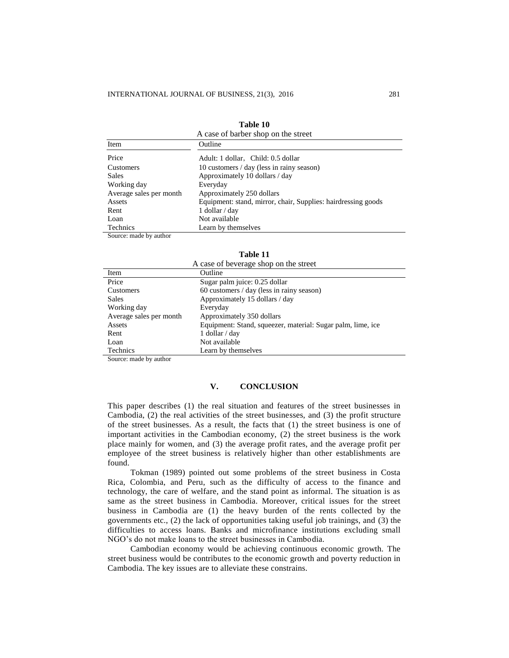| A case of barber shop on the street |                                                               |  |  |  |
|-------------------------------------|---------------------------------------------------------------|--|--|--|
| Item                                | Outline                                                       |  |  |  |
| Price                               | Adult: 1 dollar, Child: 0.5 dollar                            |  |  |  |
| <b>Customers</b>                    | 10 customers / day (less in rainy season)                     |  |  |  |
| <b>Sales</b>                        | Approximately 10 dollars / day                                |  |  |  |
| Working day                         | Everyday                                                      |  |  |  |
| Average sales per month             | Approximately 250 dollars                                     |  |  |  |
| Assets                              | Equipment: stand, mirror, chair, Supplies: hairdressing goods |  |  |  |
| Rent                                | 1 dollar / day                                                |  |  |  |
| Loan                                | Not available                                                 |  |  |  |
| Technics                            | Learn by themselves                                           |  |  |  |
| Source: made by author              |                                                               |  |  |  |

| Table 10                        |  |
|---------------------------------|--|
| case of barber shop on the stre |  |

| Table 11                              |                                                             |  |
|---------------------------------------|-------------------------------------------------------------|--|
| A case of beverage shop on the street |                                                             |  |
| Item                                  | Outline                                                     |  |
| Price                                 | Sugar palm juice: 0.25 dollar                               |  |
| Customers                             | 60 customers / day (less in rainy season)                   |  |
| <b>Sales</b>                          | Approximately 15 dollars / day                              |  |
| Working day                           | Everyday                                                    |  |
| Average sales per month               | Approximately 350 dollars                                   |  |
| Assets                                | Equipment: Stand, squeezer, material: Sugar palm, lime, ice |  |
| Rent                                  | 1 dollar $/$ day                                            |  |
| Loan                                  | Not available                                               |  |

Source: made by author

Technics Learn by themselves

#### **V. CONCLUSION**

This paper describes (1) the real situation and features of the street businesses in Cambodia, (2) the real activities of the street businesses, and (3) the profit structure of the street businesses. As a result, the facts that (1) the street business is one of important activities in the Cambodian economy, (2) the street business is the work place mainly for women, and (3) the average profit rates, and the average profit per employee of the street business is relatively higher than other establishments are found.

Tokman (1989) pointed out some problems of the street business in Costa Rica, Colombia, and Peru, such as the difficulty of access to the finance and technology, the care of welfare, and the stand point as informal. The situation is as same as the street business in Cambodia. Moreover, critical issues for the street business in Cambodia are (1) the heavy burden of the rents collected by the governments etc., (2) the lack of opportunities taking useful job trainings, and (3) the difficulties to access loans. Banks and microfinance institutions excluding small NGO's do not make loans to the street businesses in Cambodia.

Cambodian economy would be achieving continuous economic growth. The street business would be contributes to the economic growth and poverty reduction in Cambodia. The key issues are to alleviate these constrains.